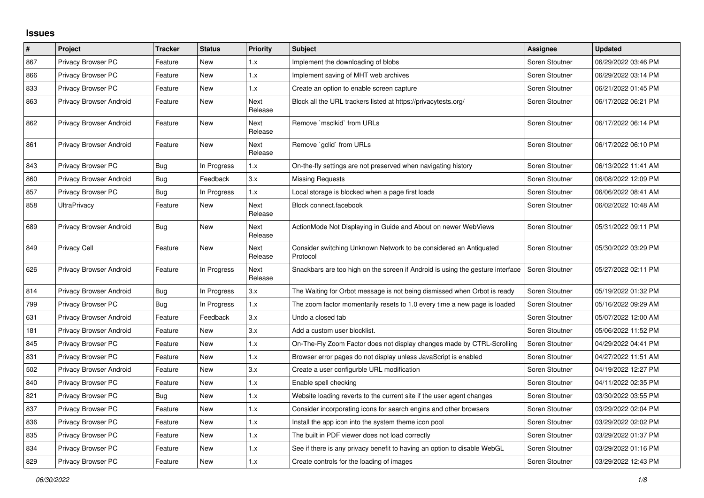## **Issues**

| $\pmb{\#}$ | Project                 | <b>Tracker</b> | <b>Status</b> | <b>Priority</b> | <b>Subject</b>                                                                 | Assignee       | <b>Updated</b>      |
|------------|-------------------------|----------------|---------------|-----------------|--------------------------------------------------------------------------------|----------------|---------------------|
| 867        | Privacy Browser PC      | Feature        | New           | 1.x             | Implement the downloading of blobs                                             | Soren Stoutner | 06/29/2022 03:46 PM |
| 866        | Privacy Browser PC      | Feature        | <b>New</b>    | 1.x             | Implement saving of MHT web archives                                           | Soren Stoutner | 06/29/2022 03:14 PM |
| 833        | Privacy Browser PC      | Feature        | New           | 1.x             | Create an option to enable screen capture                                      | Soren Stoutner | 06/21/2022 01:45 PM |
| 863        | Privacy Browser Android | Feature        | New           | Next<br>Release | Block all the URL trackers listed at https://privacytests.org/                 | Soren Stoutner | 06/17/2022 06:21 PM |
| 862        | Privacy Browser Android | Feature        | New           | Next<br>Release | Remove `msclkid` from URLs                                                     | Soren Stoutner | 06/17/2022 06:14 PM |
| 861        | Privacy Browser Android | Feature        | New           | Next<br>Release | Remove `gclid` from URLs                                                       | Soren Stoutner | 06/17/2022 06:10 PM |
| 843        | Privacy Browser PC      | <b>Bug</b>     | In Progress   | 1.x             | On-the-fly settings are not preserved when navigating history                  | Soren Stoutner | 06/13/2022 11:41 AM |
| 860        | Privacy Browser Android | <b>Bug</b>     | Feedback      | 3.x             | <b>Missing Requests</b>                                                        | Soren Stoutner | 06/08/2022 12:09 PM |
| 857        | Privacy Browser PC      | <b>Bug</b>     | In Progress   | 1.x             | Local storage is blocked when a page first loads                               | Soren Stoutner | 06/06/2022 08:41 AM |
| 858        | <b>UltraPrivacy</b>     | Feature        | New           | Next<br>Release | Block connect.facebook                                                         | Soren Stoutner | 06/02/2022 10:48 AM |
| 689        | Privacy Browser Android | <b>Bug</b>     | New           | Next<br>Release | ActionMode Not Displaying in Guide and About on newer WebViews                 | Soren Stoutner | 05/31/2022 09:11 PM |
| 849        | <b>Privacy Cell</b>     | Feature        | New           | Next<br>Release | Consider switching Unknown Network to be considered an Antiquated<br>Protocol  | Soren Stoutner | 05/30/2022 03:29 PM |
| 626        | Privacy Browser Android | Feature        | In Progress   | Next<br>Release | Snackbars are too high on the screen if Android is using the gesture interface | Soren Stoutner | 05/27/2022 02:11 PM |
| 814        | Privacy Browser Android | <b>Bug</b>     | In Progress   | 3.x             | The Waiting for Orbot message is not being dismissed when Orbot is ready       | Soren Stoutner | 05/19/2022 01:32 PM |
| 799        | Privacy Browser PC      | Bug            | In Progress   | 1.x             | The zoom factor momentarily resets to 1.0 every time a new page is loaded      | Soren Stoutner | 05/16/2022 09:29 AM |
| 631        | Privacy Browser Android | Feature        | Feedback      | 3.x             | Undo a closed tab                                                              | Soren Stoutner | 05/07/2022 12:00 AM |
| 181        | Privacy Browser Android | Feature        | New           | 3.x             | Add a custom user blocklist.                                                   | Soren Stoutner | 05/06/2022 11:52 PM |
| 845        | Privacy Browser PC      | Feature        | <b>New</b>    | 1.x             | On-The-Fly Zoom Factor does not display changes made by CTRL-Scrolling         | Soren Stoutner | 04/29/2022 04:41 PM |
| 831        | Privacy Browser PC      | Feature        | New           | 1.x             | Browser error pages do not display unless JavaScript is enabled                | Soren Stoutner | 04/27/2022 11:51 AM |
| 502        | Privacy Browser Android | Feature        | <b>New</b>    | 3.x             | Create a user configurble URL modification                                     | Soren Stoutner | 04/19/2022 12:27 PM |
| 840        | Privacy Browser PC      | Feature        | New           | 1.x             | Enable spell checking                                                          | Soren Stoutner | 04/11/2022 02:35 PM |
| 821        | Privacy Browser PC      | Bug            | New           | 1.x             | Website loading reverts to the current site if the user agent changes          | Soren Stoutner | 03/30/2022 03:55 PM |
| 837        | Privacy Browser PC      | Feature        | <b>New</b>    | 1.x             | Consider incorporating icons for search engins and other browsers              | Soren Stoutner | 03/29/2022 02:04 PM |
| 836        | Privacy Browser PC      | Feature        | New           | 1.x             | Install the app icon into the system theme icon pool                           | Soren Stoutner | 03/29/2022 02:02 PM |
| 835        | Privacy Browser PC      | Feature        | New           | 1.x             | The built in PDF viewer does not load correctly                                | Soren Stoutner | 03/29/2022 01:37 PM |
| 834        | Privacy Browser PC      | Feature        | New           | 1.x             | See if there is any privacy benefit to having an option to disable WebGL       | Soren Stoutner | 03/29/2022 01:16 PM |
| 829        | Privacy Browser PC      | Feature        | New           | 1.x             | Create controls for the loading of images                                      | Soren Stoutner | 03/29/2022 12:43 PM |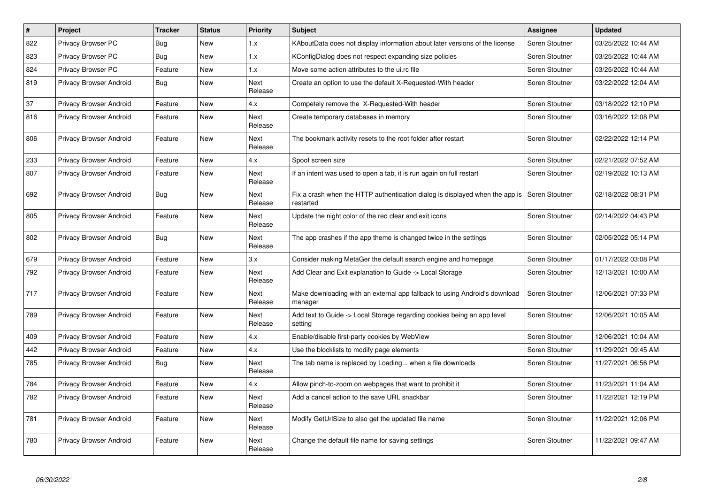| #   | Project                 | <b>Tracker</b> | <b>Status</b> | Priority               | <b>Subject</b>                                                                            | Assignee       | <b>Updated</b>      |
|-----|-------------------------|----------------|---------------|------------------------|-------------------------------------------------------------------------------------------|----------------|---------------------|
| 822 | Privacy Browser PC      | Bug            | <b>New</b>    | 1.x                    | KAboutData does not display information about later versions of the license               | Soren Stoutner | 03/25/2022 10:44 AM |
| 823 | Privacy Browser PC      | <b>Bug</b>     | <b>New</b>    | 1.x                    | KConfigDialog does not respect expanding size policies                                    | Soren Stoutner | 03/25/2022 10:44 AM |
| 824 | Privacy Browser PC      | Feature        | New           | 1.x                    | Move some action attributes to the ui.rc file                                             | Soren Stoutner | 03/25/2022 10:44 AM |
| 819 | Privacy Browser Android | <b>Bug</b>     | New           | Next<br>Release        | Create an option to use the default X-Requested-With header                               | Soren Stoutner | 03/22/2022 12:04 AM |
| 37  | Privacy Browser Android | Feature        | <b>New</b>    | 4.x                    | Competely remove the X-Requested-With header                                              | Soren Stoutner | 03/18/2022 12:10 PM |
| 816 | Privacy Browser Android | Feature        | New           | Next<br>Release        | Create temporary databases in memory                                                      | Soren Stoutner | 03/16/2022 12:08 PM |
| 806 | Privacy Browser Android | Feature        | New           | Next<br>Release        | The bookmark activity resets to the root folder after restart                             | Soren Stoutner | 02/22/2022 12:14 PM |
| 233 | Privacy Browser Android | Feature        | New           | 4.x                    | Spoof screen size                                                                         | Soren Stoutner | 02/21/2022 07:52 AM |
| 807 | Privacy Browser Android | Feature        | New           | Next<br>Release        | If an intent was used to open a tab, it is run again on full restart                      | Soren Stoutner | 02/19/2022 10:13 AM |
| 692 | Privacy Browser Android | Bug            | New           | Next<br>Release        | Fix a crash when the HTTP authentication dialog is displayed when the app is<br>restarted | Soren Stoutner | 02/18/2022 08:31 PM |
| 805 | Privacy Browser Android | Feature        | New           | Next<br>Release        | Update the night color of the red clear and exit icons                                    | Soren Stoutner | 02/14/2022 04:43 PM |
| 802 | Privacy Browser Android | Bug            | New           | Next<br>Release        | The app crashes if the app theme is changed twice in the settings                         | Soren Stoutner | 02/05/2022 05:14 PM |
| 679 | Privacy Browser Android | Feature        | <b>New</b>    | 3.x                    | Consider making MetaGer the default search engine and homepage                            | Soren Stoutner | 01/17/2022 03:08 PM |
| 792 | Privacy Browser Android | Feature        | New           | Next<br>Release        | Add Clear and Exit explanation to Guide -> Local Storage                                  | Soren Stoutner | 12/13/2021 10:00 AM |
| 717 | Privacy Browser Android | Feature        | <b>New</b>    | Next<br>Release        | Make downloading with an external app fallback to using Android's download<br>manager     | Soren Stoutner | 12/06/2021 07:33 PM |
| 789 | Privacy Browser Android | Feature        | <b>New</b>    | <b>Next</b><br>Release | Add text to Guide -> Local Storage regarding cookies being an app level<br>setting        | Soren Stoutner | 12/06/2021 10:05 AM |
| 409 | Privacy Browser Android | Feature        | New           | 4.x                    | Enable/disable first-party cookies by WebView                                             | Soren Stoutner | 12/06/2021 10:04 AM |
| 442 | Privacy Browser Android | Feature        | New           | 4.x                    | Use the blocklists to modify page elements                                                | Soren Stoutner | 11/29/2021 09:45 AM |
| 785 | Privacy Browser Android | <b>Bug</b>     | New           | Next<br>Release        | The tab name is replaced by Loading when a file downloads                                 | Soren Stoutner | 11/27/2021 06:56 PM |
| 784 | Privacy Browser Android | Feature        | New           | 4.x                    | Allow pinch-to-zoom on webpages that want to prohibit it                                  | Soren Stoutner | 11/23/2021 11:04 AM |
| 782 | Privacy Browser Android | Feature        | New           | Next<br>Release        | Add a cancel action to the save URL snackbar                                              | Soren Stoutner | 11/22/2021 12:19 PM |
| 781 | Privacy Browser Android | Feature        | New           | Next<br>Release        | Modify GetUrlSize to also get the updated file name                                       | Soren Stoutner | 11/22/2021 12:06 PM |
| 780 | Privacy Browser Android | Feature        | New           | Next<br>Release        | Change the default file name for saving settings                                          | Soren Stoutner | 11/22/2021 09:47 AM |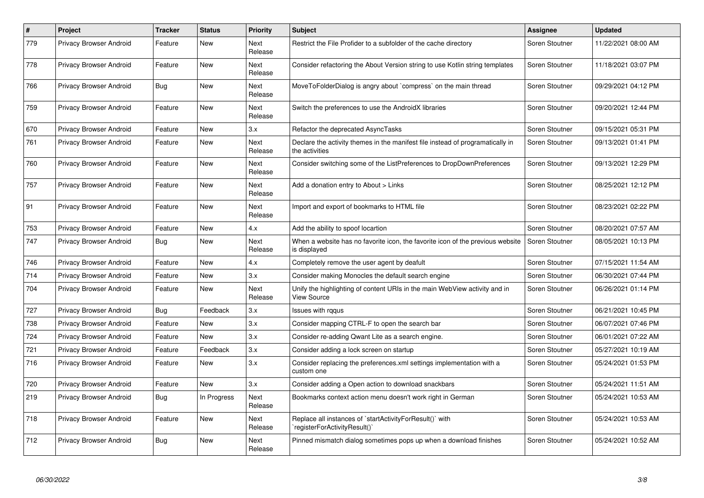| #   | Project                        | <b>Tracker</b> | <b>Status</b> | <b>Priority</b> | <b>Subject</b>                                                                                   | Assignee       | <b>Updated</b>      |
|-----|--------------------------------|----------------|---------------|-----------------|--------------------------------------------------------------------------------------------------|----------------|---------------------|
| 779 | Privacy Browser Android        | Feature        | <b>New</b>    | Next<br>Release | Restrict the File Profider to a subfolder of the cache directory                                 | Soren Stoutner | 11/22/2021 08:00 AM |
| 778 | Privacy Browser Android        | Feature        | <b>New</b>    | Next<br>Release | Consider refactoring the About Version string to use Kotlin string templates                     | Soren Stoutner | 11/18/2021 03:07 PM |
| 766 | Privacy Browser Android        | <b>Bug</b>     | <b>New</b>    | Next<br>Release | MoveToFolderDialog is angry about `compress` on the main thread                                  | Soren Stoutner | 09/29/2021 04:12 PM |
| 759 | Privacy Browser Android        | Feature        | New           | Next<br>Release | Switch the preferences to use the AndroidX libraries                                             | Soren Stoutner | 09/20/2021 12:44 PM |
| 670 | Privacy Browser Android        | Feature        | New           | 3.x             | Refactor the deprecated AsyncTasks                                                               | Soren Stoutner | 09/15/2021 05:31 PM |
| 761 | <b>Privacy Browser Android</b> | Feature        | <b>New</b>    | Next<br>Release | Declare the activity themes in the manifest file instead of programatically in<br>the activities | Soren Stoutner | 09/13/2021 01:41 PM |
| 760 | Privacy Browser Android        | Feature        | <b>New</b>    | Next<br>Release | Consider switching some of the ListPreferences to DropDownPreferences                            | Soren Stoutner | 09/13/2021 12:29 PM |
| 757 | Privacy Browser Android        | Feature        | New           | Next<br>Release | Add a donation entry to About > Links                                                            | Soren Stoutner | 08/25/2021 12:12 PM |
| 91  | Privacy Browser Android        | Feature        | New           | Next<br>Release | Import and export of bookmarks to HTML file                                                      | Soren Stoutner | 08/23/2021 02:22 PM |
| 753 | <b>Privacy Browser Android</b> | Feature        | <b>New</b>    | 4.x             | Add the ability to spoof locartion                                                               | Soren Stoutner | 08/20/2021 07:57 AM |
| 747 | <b>Privacy Browser Android</b> | <b>Bug</b>     | New           | Next<br>Release | When a website has no favorite icon, the favorite icon of the previous website<br>is displayed   | Soren Stoutner | 08/05/2021 10:13 PM |
| 746 | <b>Privacy Browser Android</b> | Feature        | New           | 4.x             | Completely remove the user agent by deafult                                                      | Soren Stoutner | 07/15/2021 11:54 AM |
| 714 | <b>Privacy Browser Android</b> | Feature        | New           | 3.x             | Consider making Monocles the default search engine                                               | Soren Stoutner | 06/30/2021 07:44 PM |
| 704 | <b>Privacy Browser Android</b> | Feature        | New           | Next<br>Release | Unify the highlighting of content URIs in the main WebView activity and in<br><b>View Source</b> | Soren Stoutner | 06/26/2021 01:14 PM |
| 727 | <b>Privacy Browser Android</b> | <b>Bug</b>     | Feedback      | 3.x             | Issues with rggus                                                                                | Soren Stoutner | 06/21/2021 10:45 PM |
| 738 | <b>Privacy Browser Android</b> | Feature        | New           | 3.x             | Consider mapping CTRL-F to open the search bar                                                   | Soren Stoutner | 06/07/2021 07:46 PM |
| 724 | <b>Privacy Browser Android</b> | Feature        | New           | 3.x             | Consider re-adding Qwant Lite as a search engine.                                                | Soren Stoutner | 06/01/2021 07:22 AM |
| 721 | Privacy Browser Android        | Feature        | Feedback      | 3.x             | Consider adding a lock screen on startup                                                         | Soren Stoutner | 05/27/2021 10:19 AM |
| 716 | Privacy Browser Android        | Feature        | New           | 3.x             | Consider replacing the preferences.xml settings implementation with a<br>custom one              | Soren Stoutner | 05/24/2021 01:53 PM |
| 720 | Privacy Browser Android        | Feature        | <b>New</b>    | 3.x             | Consider adding a Open action to download snackbars                                              | Soren Stoutner | 05/24/2021 11:51 AM |
| 219 | <b>Privacy Browser Android</b> | Bug            | In Progress   | Next<br>Release | Bookmarks context action menu doesn't work right in German                                       | Soren Stoutner | 05/24/2021 10:53 AM |
| 718 | <b>Privacy Browser Android</b> | Feature        | New           | Next<br>Release | Replace all instances of `startActivityForResult()` with<br>registerForActivityResult()`         | Soren Stoutner | 05/24/2021 10:53 AM |
| 712 | <b>Privacy Browser Android</b> | <b>Bug</b>     | <b>New</b>    | Next<br>Release | Pinned mismatch dialog sometimes pops up when a download finishes                                | Soren Stoutner | 05/24/2021 10:52 AM |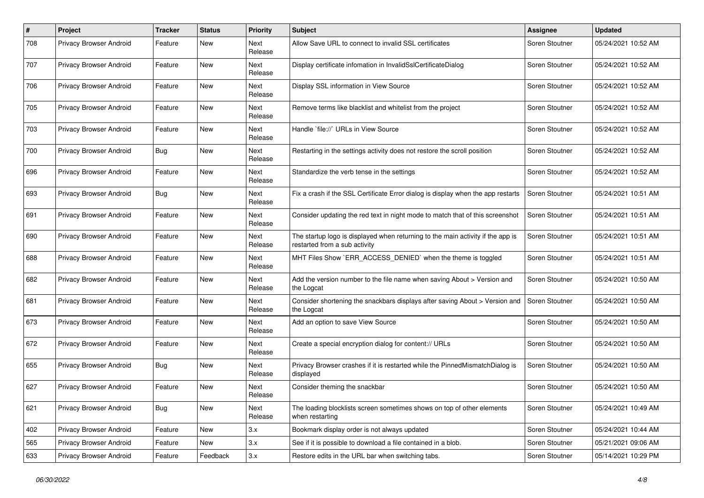| #   | Project                        | <b>Tracker</b> | <b>Status</b> | <b>Priority</b> | <b>Subject</b>                                                                                                   | Assignee       | <b>Updated</b>      |
|-----|--------------------------------|----------------|---------------|-----------------|------------------------------------------------------------------------------------------------------------------|----------------|---------------------|
| 708 | Privacy Browser Android        | Feature        | New           | Next<br>Release | Allow Save URL to connect to invalid SSL certificates                                                            | Soren Stoutner | 05/24/2021 10:52 AM |
| 707 | Privacy Browser Android        | Feature        | New           | Next<br>Release | Display certificate infomation in InvalidSslCertificateDialog                                                    | Soren Stoutner | 05/24/2021 10:52 AM |
| 706 | Privacy Browser Android        | Feature        | New           | Next<br>Release | Display SSL information in View Source                                                                           | Soren Stoutner | 05/24/2021 10:52 AM |
| 705 | Privacy Browser Android        | Feature        | New           | Next<br>Release | Remove terms like blacklist and whitelist from the project                                                       | Soren Stoutner | 05/24/2021 10:52 AM |
| 703 | Privacy Browser Android        | Feature        | New           | Next<br>Release | Handle `file://` URLs in View Source                                                                             | Soren Stoutner | 05/24/2021 10:52 AM |
| 700 | Privacy Browser Android        | Bug            | New           | Next<br>Release | Restarting in the settings activity does not restore the scroll position                                         | Soren Stoutner | 05/24/2021 10:52 AM |
| 696 | Privacy Browser Android        | Feature        | New           | Next<br>Release | Standardize the verb tense in the settings                                                                       | Soren Stoutner | 05/24/2021 10:52 AM |
| 693 | Privacy Browser Android        | Bug            | New           | Next<br>Release | Fix a crash if the SSL Certificate Error dialog is display when the app restarts                                 | Soren Stoutner | 05/24/2021 10:51 AM |
| 691 | <b>Privacy Browser Android</b> | Feature        | New           | Next<br>Release | Consider updating the red text in night mode to match that of this screenshot                                    | Soren Stoutner | 05/24/2021 10:51 AM |
| 690 | Privacy Browser Android        | Feature        | New           | Next<br>Release | The startup logo is displayed when returning to the main activity if the app is<br>restarted from a sub activity | Soren Stoutner | 05/24/2021 10:51 AM |
| 688 | Privacy Browser Android        | Feature        | New           | Next<br>Release | MHT Files Show `ERR_ACCESS_DENIED` when the theme is toggled                                                     | Soren Stoutner | 05/24/2021 10:51 AM |
| 682 | Privacy Browser Android        | Feature        | New           | Next<br>Release | Add the version number to the file name when saving About > Version and<br>the Logcat                            | Soren Stoutner | 05/24/2021 10:50 AM |
| 681 | Privacy Browser Android        | Feature        | New           | Next<br>Release | Consider shortening the snackbars displays after saving About > Version and<br>the Logcat                        | Soren Stoutner | 05/24/2021 10:50 AM |
| 673 | Privacy Browser Android        | Feature        | New           | Next<br>Release | Add an option to save View Source                                                                                | Soren Stoutner | 05/24/2021 10:50 AM |
| 672 | <b>Privacy Browser Android</b> | Feature        | New           | Next<br>Release | Create a special encryption dialog for content:// URLs                                                           | Soren Stoutner | 05/24/2021 10:50 AM |
| 655 | Privacy Browser Android        | Bug            | New           | Next<br>Release | Privacy Browser crashes if it is restarted while the PinnedMismatchDialog is<br>displayed                        | Soren Stoutner | 05/24/2021 10:50 AM |
| 627 | <b>Privacy Browser Android</b> | Feature        | New           | Next<br>Release | Consider theming the snackbar                                                                                    | Soren Stoutner | 05/24/2021 10:50 AM |
| 621 | Privacy Browser Android        | <b>Bug</b>     | New           | Next<br>Release | The loading blocklists screen sometimes shows on top of other elements<br>when restarting                        | Soren Stoutner | 05/24/2021 10:49 AM |
| 402 | Privacy Browser Android        | Feature        | New           | 3.x             | Bookmark display order is not always updated                                                                     | Soren Stoutner | 05/24/2021 10:44 AM |
| 565 | Privacy Browser Android        | Feature        | New           | 3.x             | See if it is possible to download a file contained in a blob.                                                    | Soren Stoutner | 05/21/2021 09:06 AM |
| 633 | Privacy Browser Android        | Feature        | Feedback      | 3.x             | Restore edits in the URL bar when switching tabs.                                                                | Soren Stoutner | 05/14/2021 10:29 PM |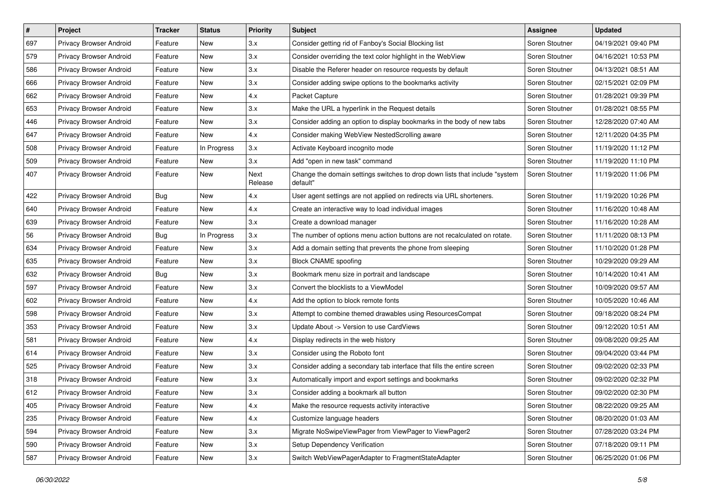| #   | Project                 | <b>Tracker</b> | <b>Status</b> | <b>Priority</b> | <b>Subject</b>                                                                          | <b>Assignee</b> | <b>Updated</b>      |
|-----|-------------------------|----------------|---------------|-----------------|-----------------------------------------------------------------------------------------|-----------------|---------------------|
| 697 | Privacy Browser Android | Feature        | New           | 3.x             | Consider getting rid of Fanboy's Social Blocking list                                   | Soren Stoutner  | 04/19/2021 09:40 PM |
| 579 | Privacy Browser Android | Feature        | <b>New</b>    | 3.x             | Consider overriding the text color highlight in the WebView                             | Soren Stoutner  | 04/16/2021 10:53 PM |
| 586 | Privacy Browser Android | Feature        | New           | 3.x             | Disable the Referer header on resource requests by default                              | Soren Stoutner  | 04/13/2021 08:51 AM |
| 666 | Privacy Browser Android | Feature        | New           | 3.x             | Consider adding swipe options to the bookmarks activity                                 | Soren Stoutner  | 02/15/2021 02:09 PM |
| 662 | Privacy Browser Android | Feature        | <b>New</b>    | 4.x             | Packet Capture                                                                          | Soren Stoutner  | 01/28/2021 09:39 PM |
| 653 | Privacy Browser Android | Feature        | New           | 3.x             | Make the URL a hyperlink in the Request details                                         | Soren Stoutner  | 01/28/2021 08:55 PM |
| 446 | Privacy Browser Android | Feature        | <b>New</b>    | 3.x             | Consider adding an option to display bookmarks in the body of new tabs                  | Soren Stoutner  | 12/28/2020 07:40 AM |
| 647 | Privacy Browser Android | Feature        | New           | 4.x             | Consider making WebView NestedScrolling aware                                           | Soren Stoutner  | 12/11/2020 04:35 PM |
| 508 | Privacy Browser Android | Feature        | In Progress   | 3.x             | Activate Keyboard incognito mode                                                        | Soren Stoutner  | 11/19/2020 11:12 PM |
| 509 | Privacy Browser Android | Feature        | <b>New</b>    | 3.x             | Add "open in new task" command                                                          | Soren Stoutner  | 11/19/2020 11:10 PM |
| 407 | Privacy Browser Android | Feature        | New           | Next<br>Release | Change the domain settings switches to drop down lists that include "system<br>default" | Soren Stoutner  | 11/19/2020 11:06 PM |
| 422 | Privacy Browser Android | <b>Bug</b>     | <b>New</b>    | 4.x             | User agent settings are not applied on redirects via URL shorteners.                    | Soren Stoutner  | 11/19/2020 10:26 PM |
| 640 | Privacy Browser Android | Feature        | New           | 4.x             | Create an interactive way to load individual images                                     | Soren Stoutner  | 11/16/2020 10:48 AM |
| 639 | Privacy Browser Android | Feature        | <b>New</b>    | 3.x             | Create a download manager                                                               | Soren Stoutner  | 11/16/2020 10:28 AM |
| 56  | Privacy Browser Android | Bug            | In Progress   | 3.x             | The number of options menu action buttons are not recalculated on rotate.               | Soren Stoutner  | 11/11/2020 08:13 PM |
| 634 | Privacy Browser Android | Feature        | New           | 3.x             | Add a domain setting that prevents the phone from sleeping                              | Soren Stoutner  | 11/10/2020 01:28 PM |
| 635 | Privacy Browser Android | Feature        | <b>New</b>    | 3.x             | <b>Block CNAME spoofing</b>                                                             | Soren Stoutner  | 10/29/2020 09:29 AM |
| 632 | Privacy Browser Android | Bug            | New           | 3.x             | Bookmark menu size in portrait and landscape                                            | Soren Stoutner  | 10/14/2020 10:41 AM |
| 597 | Privacy Browser Android | Feature        | <b>New</b>    | 3.x             | Convert the blocklists to a ViewModel                                                   | Soren Stoutner  | 10/09/2020 09:57 AM |
| 602 | Privacy Browser Android | Feature        | New           | 4.x             | Add the option to block remote fonts                                                    | Soren Stoutner  | 10/05/2020 10:46 AM |
| 598 | Privacy Browser Android | Feature        | New           | 3.x             | Attempt to combine themed drawables using ResourcesCompat                               | Soren Stoutner  | 09/18/2020 08:24 PM |
| 353 | Privacy Browser Android | Feature        | <b>New</b>    | 3.x             | Update About -> Version to use CardViews                                                | Soren Stoutner  | 09/12/2020 10:51 AM |
| 581 | Privacy Browser Android | Feature        | New           | 4.x             | Display redirects in the web history                                                    | Soren Stoutner  | 09/08/2020 09:25 AM |
| 614 | Privacy Browser Android | Feature        | New           | 3.x             | Consider using the Roboto font                                                          | Soren Stoutner  | 09/04/2020 03:44 PM |
| 525 | Privacy Browser Android | Feature        | New           | 3.x             | Consider adding a secondary tab interface that fills the entire screen                  | Soren Stoutner  | 09/02/2020 02:33 PM |
| 318 | Privacy Browser Android | Feature        | New           | 3.x             | Automatically import and export settings and bookmarks                                  | Soren Stoutner  | 09/02/2020 02:32 PM |
| 612 | Privacy Browser Android | Feature        | New           | 3.x             | Consider adding a bookmark all button                                                   | Soren Stoutner  | 09/02/2020 02:30 PM |
| 405 | Privacy Browser Android | Feature        | New           | 4.x             | Make the resource requests activity interactive                                         | Soren Stoutner  | 08/22/2020 09:25 AM |
| 235 | Privacy Browser Android | Feature        | New           | 4.x             | Customize language headers                                                              | Soren Stoutner  | 08/20/2020 01:03 AM |
| 594 | Privacy Browser Android | Feature        | New           | 3.x             | Migrate NoSwipeViewPager from ViewPager to ViewPager2                                   | Soren Stoutner  | 07/28/2020 03:24 PM |
| 590 | Privacy Browser Android | Feature        | New           | 3.x             | Setup Dependency Verification                                                           | Soren Stoutner  | 07/18/2020 09:11 PM |
| 587 | Privacy Browser Android | Feature        | New           | 3.x             | Switch WebViewPagerAdapter to FragmentStateAdapter                                      | Soren Stoutner  | 06/25/2020 01:06 PM |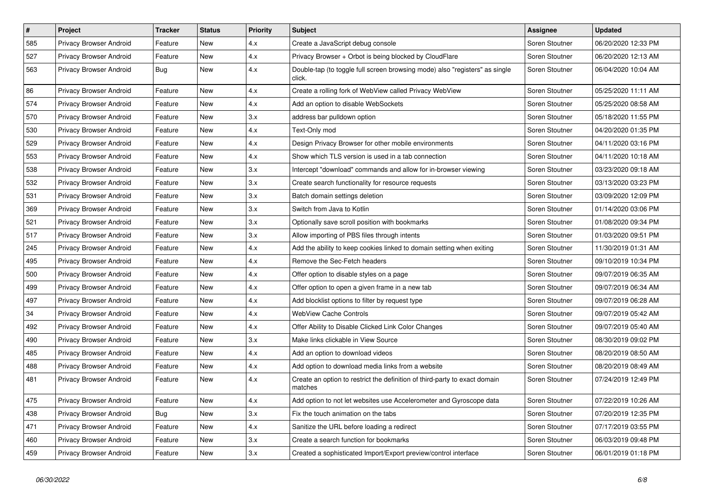| #   | Project                        | <b>Tracker</b> | <b>Status</b> | <b>Priority</b> | <b>Subject</b>                                                                        | Assignee       | <b>Updated</b>      |
|-----|--------------------------------|----------------|---------------|-----------------|---------------------------------------------------------------------------------------|----------------|---------------------|
| 585 | Privacy Browser Android        | Feature        | New           | 4.x             | Create a JavaScript debug console                                                     | Soren Stoutner | 06/20/2020 12:33 PM |
| 527 | Privacy Browser Android        | Feature        | <b>New</b>    | 4.x             | Privacy Browser + Orbot is being blocked by CloudFlare                                | Soren Stoutner | 06/20/2020 12:13 AM |
| 563 | Privacy Browser Android        | Bug            | New           | 4.x             | Double-tap (to toggle full screen browsing mode) also "registers" as single<br>click. | Soren Stoutner | 06/04/2020 10:04 AM |
| 86  | Privacy Browser Android        | Feature        | <b>New</b>    | 4.x             | Create a rolling fork of WebView called Privacy WebView                               | Soren Stoutner | 05/25/2020 11:11 AM |
| 574 | <b>Privacy Browser Android</b> | Feature        | <b>New</b>    | 4.x             | Add an option to disable WebSockets                                                   | Soren Stoutner | 05/25/2020 08:58 AM |
| 570 | Privacy Browser Android        | Feature        | New           | 3.x             | address bar pulldown option                                                           | Soren Stoutner | 05/18/2020 11:55 PM |
| 530 | Privacy Browser Android        | Feature        | <b>New</b>    | 4.x             | Text-Only mod                                                                         | Soren Stoutner | 04/20/2020 01:35 PM |
| 529 | Privacy Browser Android        | Feature        | New           | 4.x             | Design Privacy Browser for other mobile environments                                  | Soren Stoutner | 04/11/2020 03:16 PM |
| 553 | Privacy Browser Android        | Feature        | <b>New</b>    | 4.x             | Show which TLS version is used in a tab connection                                    | Soren Stoutner | 04/11/2020 10:18 AM |
| 538 | Privacy Browser Android        | Feature        | New           | 3.x             | Intercept "download" commands and allow for in-browser viewing                        | Soren Stoutner | 03/23/2020 09:18 AM |
| 532 | Privacy Browser Android        | Feature        | New           | 3.x             | Create search functionality for resource requests                                     | Soren Stoutner | 03/13/2020 03:23 PM |
| 531 | Privacy Browser Android        | Feature        | New           | 3.x             | Batch domain settings deletion                                                        | Soren Stoutner | 03/09/2020 12:09 PM |
| 369 | Privacy Browser Android        | Feature        | <b>New</b>    | 3.x             | Switch from Java to Kotlin                                                            | Soren Stoutner | 01/14/2020 03:06 PM |
| 521 | Privacy Browser Android        | Feature        | New           | 3.x             | Optionally save scroll position with bookmarks                                        | Soren Stoutner | 01/08/2020 09:34 PM |
| 517 | Privacy Browser Android        | Feature        | <b>New</b>    | 3.x             | Allow importing of PBS files through intents                                          | Soren Stoutner | 01/03/2020 09:51 PM |
| 245 | Privacy Browser Android        | Feature        | <b>New</b>    | 4.x             | Add the ability to keep cookies linked to domain setting when exiting                 | Soren Stoutner | 11/30/2019 01:31 AM |
| 495 | Privacy Browser Android        | Feature        | <b>New</b>    | 4.x             | Remove the Sec-Fetch headers                                                          | Soren Stoutner | 09/10/2019 10:34 PM |
| 500 | Privacy Browser Android        | Feature        | New           | 4.x             | Offer option to disable styles on a page                                              | Soren Stoutner | 09/07/2019 06:35 AM |
| 499 | Privacy Browser Android        | Feature        | New           | 4.x             | Offer option to open a given frame in a new tab                                       | Soren Stoutner | 09/07/2019 06:34 AM |
| 497 | Privacy Browser Android        | Feature        | New           | 4.x             | Add blocklist options to filter by request type                                       | Soren Stoutner | 09/07/2019 06:28 AM |
| 34  | Privacy Browser Android        | Feature        | <b>New</b>    | 4.x             | <b>WebView Cache Controls</b>                                                         | Soren Stoutner | 09/07/2019 05:42 AM |
| 492 | Privacy Browser Android        | Feature        | New           | 4.x             | Offer Ability to Disable Clicked Link Color Changes                                   | Soren Stoutner | 09/07/2019 05:40 AM |
| 490 | Privacy Browser Android        | Feature        | New           | 3.x             | Make links clickable in View Source                                                   | Soren Stoutner | 08/30/2019 09:02 PM |
| 485 | Privacy Browser Android        | Feature        | <b>New</b>    | 4.x             | Add an option to download videos                                                      | Soren Stoutner | 08/20/2019 08:50 AM |
| 488 | Privacy Browser Android        | Feature        | New           | 4.x             | Add option to download media links from a website                                     | Soren Stoutner | 08/20/2019 08:49 AM |
| 481 | Privacy Browser Android        | Feature        | New           | 4.x             | Create an option to restrict the definition of third-party to exact domain<br>matches | Soren Stoutner | 07/24/2019 12:49 PM |
| 475 | Privacy Browser Android        | Feature        | <b>New</b>    | 4.x             | Add option to not let websites use Accelerometer and Gyroscope data                   | Soren Stoutner | 07/22/2019 10:26 AM |
| 438 | Privacy Browser Android        | <b>Bug</b>     | New           | 3.x             | Fix the touch animation on the tabs                                                   | Soren Stoutner | 07/20/2019 12:35 PM |
| 471 | Privacy Browser Android        | Feature        | New           | 4.x             | Sanitize the URL before loading a redirect                                            | Soren Stoutner | 07/17/2019 03:55 PM |
| 460 | Privacy Browser Android        | Feature        | <b>New</b>    | 3.x             | Create a search function for bookmarks                                                | Soren Stoutner | 06/03/2019 09:48 PM |
| 459 | Privacy Browser Android        | Feature        | New           | 3.x             | Created a sophisticated Import/Export preview/control interface                       | Soren Stoutner | 06/01/2019 01:18 PM |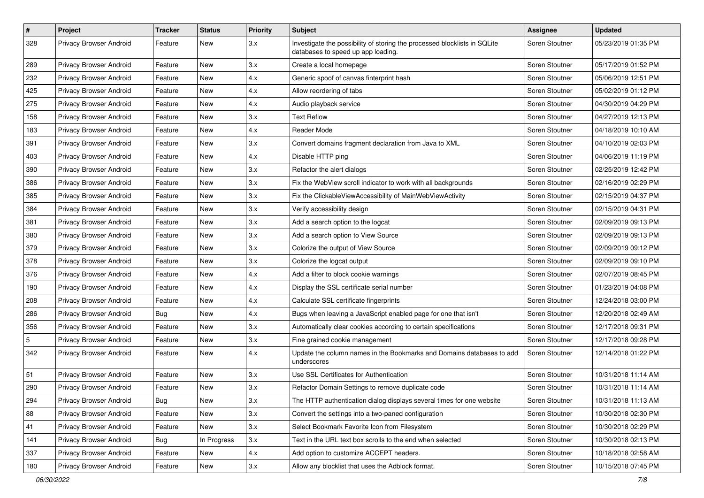| $\vert$ #      | Project                 | <b>Tracker</b> | <b>Status</b> | <b>Priority</b> | <b>Subject</b>                                                                                                  | Assignee       | <b>Updated</b>      |
|----------------|-------------------------|----------------|---------------|-----------------|-----------------------------------------------------------------------------------------------------------------|----------------|---------------------|
| 328            | Privacy Browser Android | Feature        | New           | 3.x             | Investigate the possibility of storing the processed blocklists in SQLite<br>databases to speed up app loading. | Soren Stoutner | 05/23/2019 01:35 PM |
| 289            | Privacy Browser Android | Feature        | <b>New</b>    | 3.x             | Create a local homepage                                                                                         | Soren Stoutner | 05/17/2019 01:52 PM |
| 232            | Privacy Browser Android | Feature        | New           | 4.x             | Generic spoof of canvas finterprint hash                                                                        | Soren Stoutner | 05/06/2019 12:51 PM |
| 425            | Privacy Browser Android | Feature        | <b>New</b>    | 4.x             | Allow reordering of tabs                                                                                        | Soren Stoutner | 05/02/2019 01:12 PM |
| 275            | Privacy Browser Android | Feature        | New           | 4.x             | Audio playback service                                                                                          | Soren Stoutner | 04/30/2019 04:29 PM |
| 158            | Privacy Browser Android | Feature        | New           | 3.x             | <b>Text Reflow</b>                                                                                              | Soren Stoutner | 04/27/2019 12:13 PM |
| 183            | Privacy Browser Android | Feature        | New           | 4.x             | Reader Mode                                                                                                     | Soren Stoutner | 04/18/2019 10:10 AM |
| 391            | Privacy Browser Android | Feature        | New           | 3.x             | Convert domains fragment declaration from Java to XML                                                           | Soren Stoutner | 04/10/2019 02:03 PM |
| 403            | Privacy Browser Android | Feature        | New           | 4.x             | Disable HTTP ping                                                                                               | Soren Stoutner | 04/06/2019 11:19 PM |
| 390            | Privacy Browser Android | Feature        | <b>New</b>    | 3.x             | Refactor the alert dialogs                                                                                      | Soren Stoutner | 02/25/2019 12:42 PM |
| 386            | Privacy Browser Android | Feature        | New           | 3.x             | Fix the WebView scroll indicator to work with all backgrounds                                                   | Soren Stoutner | 02/16/2019 02:29 PM |
| 385            | Privacy Browser Android | Feature        | New           | 3.x             | Fix the ClickableViewAccessibility of MainWebViewActivity                                                       | Soren Stoutner | 02/15/2019 04:37 PM |
| 384            | Privacy Browser Android | Feature        | New           | 3.x             | Verify accessibility design                                                                                     | Soren Stoutner | 02/15/2019 04:31 PM |
| 381            | Privacy Browser Android | Feature        | New           | 3.x             | Add a search option to the logcat                                                                               | Soren Stoutner | 02/09/2019 09:13 PM |
| 380            | Privacy Browser Android | Feature        | New           | 3.x             | Add a search option to View Source                                                                              | Soren Stoutner | 02/09/2019 09:13 PM |
| 379            | Privacy Browser Android | Feature        | New           | 3.x             | Colorize the output of View Source                                                                              | Soren Stoutner | 02/09/2019 09:12 PM |
| 378            | Privacy Browser Android | Feature        | New           | 3.x             | Colorize the logcat output                                                                                      | Soren Stoutner | 02/09/2019 09:10 PM |
| 376            | Privacy Browser Android | Feature        | New           | 4.x             | Add a filter to block cookie warnings                                                                           | Soren Stoutner | 02/07/2019 08:45 PM |
| 190            | Privacy Browser Android | Feature        | <b>New</b>    | 4.x             | Display the SSL certificate serial number                                                                       | Soren Stoutner | 01/23/2019 04:08 PM |
| 208            | Privacy Browser Android | Feature        | <b>New</b>    | 4.x             | Calculate SSL certificate fingerprints                                                                          | Soren Stoutner | 12/24/2018 03:00 PM |
| 286            | Privacy Browser Android | <b>Bug</b>     | <b>New</b>    | 4.x             | Bugs when leaving a JavaScript enabled page for one that isn't                                                  | Soren Stoutner | 12/20/2018 02:49 AM |
| 356            | Privacy Browser Android | Feature        | <b>New</b>    | 3.x             | Automatically clear cookies according to certain specifications                                                 | Soren Stoutner | 12/17/2018 09:31 PM |
| $\overline{5}$ | Privacy Browser Android | Feature        | New           | 3.x             | Fine grained cookie management                                                                                  | Soren Stoutner | 12/17/2018 09:28 PM |
| 342            | Privacy Browser Android | Feature        | New           | 4.x             | Update the column names in the Bookmarks and Domains databases to add<br>underscores                            | Soren Stoutner | 12/14/2018 01:22 PM |
| 51             | Privacy Browser Android | Feature        | New           | 3.x             | Use SSL Certificates for Authentication                                                                         | Soren Stoutner | 10/31/2018 11:14 AM |
| 290            | Privacy Browser Android | Feature        | New           | 3.x             | Refactor Domain Settings to remove duplicate code                                                               | Soren Stoutner | 10/31/2018 11:14 AM |
| 294            | Privacy Browser Android | <b>Bug</b>     | New           | 3.x             | The HTTP authentication dialog displays several times for one website                                           | Soren Stoutner | 10/31/2018 11:13 AM |
| 88             | Privacy Browser Android | Feature        | New           | 3.x             | Convert the settings into a two-paned configuration                                                             | Soren Stoutner | 10/30/2018 02:30 PM |
| 41             | Privacy Browser Android | Feature        | New           | 3.x             | Select Bookmark Favorite Icon from Filesystem                                                                   | Soren Stoutner | 10/30/2018 02:29 PM |
| 141            | Privacy Browser Android | <b>Bug</b>     | In Progress   | 3.x             | Text in the URL text box scrolls to the end when selected                                                       | Soren Stoutner | 10/30/2018 02:13 PM |
| 337            | Privacy Browser Android | Feature        | New           | 4.x             | Add option to customize ACCEPT headers.                                                                         | Soren Stoutner | 10/18/2018 02:58 AM |
| 180            | Privacy Browser Android | Feature        | New           | $3.x$           | Allow any blocklist that uses the Adblock format.                                                               | Soren Stoutner | 10/15/2018 07:45 PM |